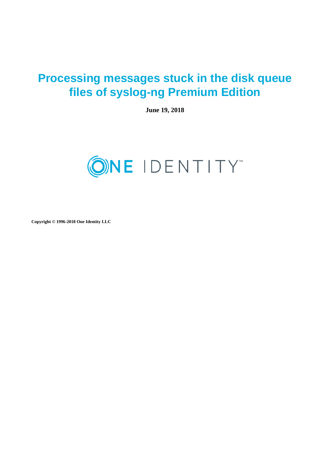# **Processing messages stuck in the disk queue files of syslog-ng Premium Edition**

**June 19, 2018**



**Copyright © 1996-2018 One Identity LLC**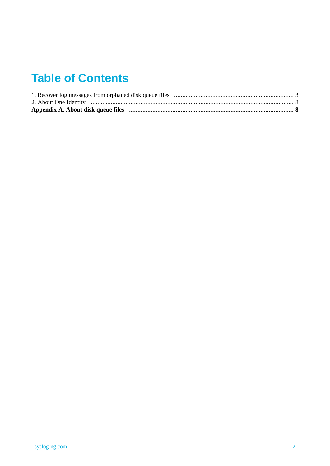# **Table of Contents**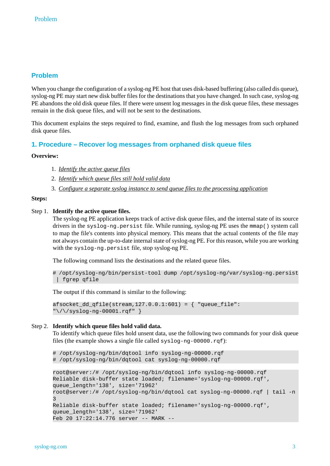# **Problem**

When you change the configuration of a syslog-ng PE host that uses disk-based buffering (also called dis queue), syslog-ng PE may start new disk buffer files for the destinations that you have changed. In such case, syslog-ng PE abandons the old disk queue files. If there were unsent log messages in the disk queue files, these messages remain in the disk queue files, and will not be sent to the destinations.

<span id="page-2-0"></span>This document explains the steps required to find, examine, and flush the log messages from such orphaned disk queue files.

# **1. Procedure – Recover log messages from orphaned disk queue files**

## **Overview:**

- 1. *[Identify](#page-2-1) the active queue files*
- 2. *[Identify](#page-2-2) which queue files still hold valid data*
- 3. *Configure a separate syslog instance to send queue files to the processing [application](#page-3-0)*

#### <span id="page-2-1"></span>**Steps:**

#### Step 1. **Identify the active queue files.**

The syslog-ng PE application keeps track of active disk queue files, and the internal state of its source drivers in the syslog-ng.persist file. While running, syslog-ng PE uses the mmap() system call to map the file's contents into physical memory. This means that the actual contents of the file may not always contain the up-to-date internal state of syslog-ng PE. For this reason, while you are working with the syslog-ng.persist file, stop syslog-ng PE.

The following command lists the destinations and the related queue files.

```
# /opt/syslog-ng/bin/persist-tool dump /opt/syslog-ng/var/syslog-ng.persist
| fgrep qfile
```
<span id="page-2-2"></span>The output if this command is similar to the following:

```
afsocket_dd_qfile(stream,127.0.0.1:601) = { "queue_file":
"\/\/syslog-ng-00001.rqf" }
```
#### Step 2. **Identify which queue files hold valid data.**

To identify which queue files hold unsent data, use the following two commands for your disk queue files (the example shows a single file called syslog-ng-00000.rqf):

```
# /opt/syslog-ng/bin/dqtool info syslog-ng-00000.rqf
# /opt/syslog-ng/bin/dqtool cat syslog-ng-00000.rqf
```

```
root@server:/# /opt/syslog-ng/bin/dqtool info syslog-ng-00000.rqf
Reliable disk-buffer state loaded; filename='syslog-ng-00000.rqf',
queue_length='138', size='71962'
root@server:/# /opt/syslog-ng/bin/dqtool cat syslog-ng-00000.rqf | tail -n
3
Reliable disk-buffer state loaded; filename='syslog-ng-00000.rqf',
queue_length='138', size='71962'
Feb 20 17:22:14.776 server -- MARK --
```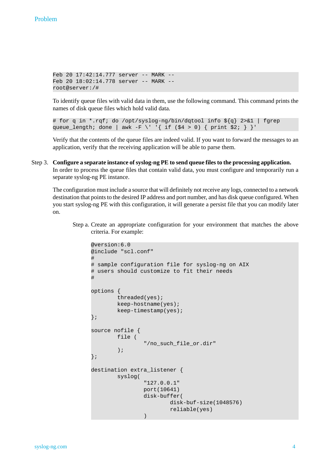```
Feb 20 17:42:14.777 server -- MARK --
Feb 20 18:02:14.778 server -- MARK --
root@server:/#
```
To identify queue files with valid data in them, use the following command. This command prints the names of disk queue files which hold valid data.

```
# for q in *.rqf; do /opt/syslog-ng/bin/dqtool info ${q} 2>&1 | fgrep
queue_length; done | awk -F \' '{ if ($4 > 0) { print $2; } }'
```
Verify that the contents of the queue files are indeed valid. If you want to forward the messages to an application, verify that the receiving application will be able to parse them.

<span id="page-3-0"></span>Step 3. **Configure a separate instance ofsyslog-ng PE to send queue filesto the processing application.** In order to process the queue files that contain valid data, you must configure and temporarily run a separate syslog-ng PE instance.

The configuration must include a source that will definitely not receive any logs, connected to a network destination that points to the desired IP address and port number, and has disk queue configured. When you start syslog-ng PE with this configuration, it will generate a persist file that you can modify later on.

Step a. Create an appropriate configuration for your environment that matches the above criteria. For example:

```
@version:6.0
@include "scl.conf"
#
# sample configuration file for syslog-ng on AIX
# users should customize to fit their needs
#
options {
        threaded(yes);
        keep-hostname(yes);
        keep-timestamp(yes);
};
source nofile {
        file (
                "/no_such_file_or.dir"
        );
};
destination extra_listener {
        syslog(
                 "127.0.0.1"
                port(10641)
                disk-buffer(
                         disk-buf-size(1048576)
                         reliable(yes)
                 )
```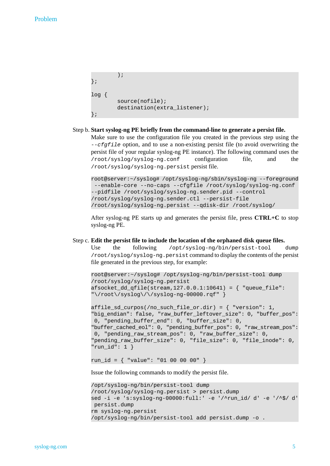#### Problem

```
);
};
log {
        source(nofile);
        destination(extra_listener);
};
```
#### Step b. **Start syslog-ng PE briefly from the command-line to generate a persist file.**

Make sure to use the configuration file you created in the previous step using the *--cfgfile* option, and to use a non-existing persist file (to avoid overwriting the persist file of your regular syslog-ng PE instance). The following command uses the /root/syslog/syslog-ng.conf configuration file, and the /root/syslog/syslog-ng.persist persist file.

```
root@server:~/syslog# /opt/syslog-ng/sbin/syslog-ng --foreground
--enable-core --no-caps --cfgfile /root/syslog/syslog-ng.conf
--pidfile /root/syslog/syslog-ng.sender.pid --control
/root/syslog/syslog-ng.sender.ctl --persist-file
/root/syslog/syslog-ng.persist --qdisk-dir /root/syslog/
```
After syslog-ng PE starts up and generates the persist file, press **CTRL+C** to stop syslog-ng PE.

#### Step c. **Edit the persist file to include the location of the orphaned disk queue files.**

Use the following /opt/syslog-ng/bin/persist-tool dump /root/syslog/syslog-ng.persist command to display the contents of the persist file generated in the previous step, for example:

root@server:~/syslog# /opt/syslog-ng/bin/persist-tool dump /root/syslog/syslog-ng.persist afsocket\_dd\_qfile(stream,127.0.0.1:10641) = { "queue\_file": "\/root\/syslog\/\/syslog-ng-00000.rqf" }

```
affile sd curpos(/no such file or.dir) = { "version": 1,
"big_endian": false, "raw_buffer_leftover_size": 0, "buffer_pos":
0, "pending_buffer_end": 0, "buffer_size": 0,
"buffer_cached_eol": 0, "pending_buffer_pos": 0, "raw_stream_pos":
0, "pending_raw_stream_pos": 0, "raw_buffer_size": 0,
"pending_raw_buffer_size": 0, "file_size": 0, "file_inode": 0,
"run_id": 1 }
```
run\_id = { "value": "01 00 00 00" }

Issue the following commands to modify the persist file.

```
/opt/syslog-ng/bin/persist-tool dump
/root/syslog/syslog-ng.persist > persist.dump
sed -i -e 's:syslog-ng-00000:full:' -e '/^run_id/ d' -e '/^$/ d'
persist.dump
rm syslog-ng.persist
/opt/syslog-ng/bin/persist-tool add persist.dump -o .
```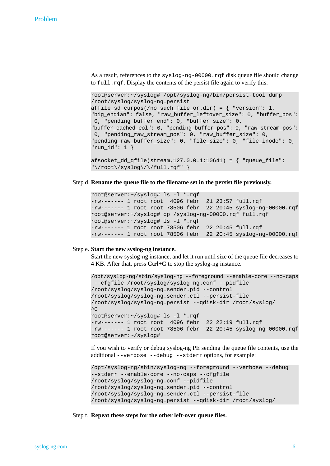As a result, references to the syslog-ng-00000.rqf disk queue file should change to full.rqf. Display the contents of the persist file again to verify this.

root@server:~/syslog# /opt/syslog-ng/bin/persist-tool dump /root/syslog/syslog-ng.persist affile\_sd\_curpos(/no\_such\_file\_or.dir) = { "version": 1, "big\_endian": false, "raw\_buffer\_leftover\_size": 0, "buffer\_pos": 0, "pending\_buffer\_end": 0, "buffer\_size": 0, "buffer\_cached\_eol": 0, "pending\_buffer\_pos": 0, "raw\_stream\_pos": 0, "pending\_raw\_stream\_pos": 0, "raw\_buffer\_size": 0, "pending\_raw\_buffer\_size": 0, "file\_size": 0, "file\_inode": 0, "run\_id": 1 }

 $afsocket_dd_qfile(stream, 127.0.0.1:10641) = { "queue_file":}$ "\/root\/syslog\/\/full.rqf" }

#### Step d. **Rename the queue file to the filename set in the persist file previously.**

```
root@server:~/syslog# ls -l *.rqf
-rw------- 1 root root 4096 febr 21 23:57 full.rqf
-rw------- 1 root root 78506 febr 22 20:45 syslog-ng-00000.rqf
root@server:~/syslog# cp /syslog-ng-00000.rqf full.rqf
root@server:~/syslog# ls -l *.rqf
-rw------- 1 root root 78506 febr 22 20:45 full.rqf
-rw------- 1 root root 78506 febr 22 20:45 syslog-ng-00000.rqf
```
#### Step e. **Start the new syslog-ng instance.**

Start the new syslog-ng instance, and let it run until size of the queue file decreases to 4 KB. After that, press **Ctrl+C** to stop the syslog-ng instance.

```
/opt/syslog-ng/sbin/syslog-ng --foreground --enable-core --no-caps
 --cfgfile /root/syslog/syslog-ng.conf --pidfile
/root/syslog/syslog-ng.sender.pid --control
/root/syslog/syslog-ng.sender.ctl --persist-file
/root/syslog/syslog-ng.persist --qdisk-dir /root/syslog/
\wedgeC
root@server:~/syslog# ls -l *.rqf
-rw------- 1 root root 4096 febr 22 22:19 full.rqf
-rw------- 1 root root 78506 febr 22 20:45 syslog-ng-00000.rqf
root@server:~/syslog#
```
If you wish to verify or debug syslog-ng PE sending the queue file contents, use the additional --verbose --debug --stderr options, for example:

```
/opt/syslog-ng/sbin/syslog-ng --foreground --verbose --debug
--stderr --enable-core --no-caps --cfgfile
/root/syslog/syslog-ng.conf --pidfile
/root/syslog/syslog-ng.sender.pid --control
/root/syslog/syslog-ng.sender.ctl --persist-file
/root/syslog/syslog-ng.persist --qdisk-dir /root/syslog/
```
Step f. **Repeat these steps for the other left-over queue files.**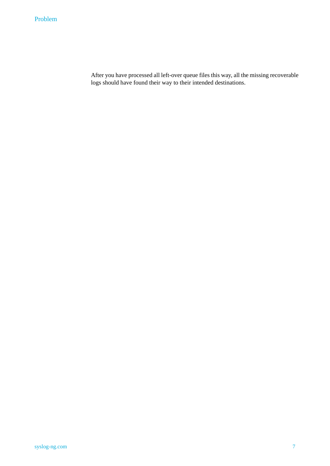After you have processed all left-over queue files this way, all the missing recoverable logs should have found their way to their intended destinations.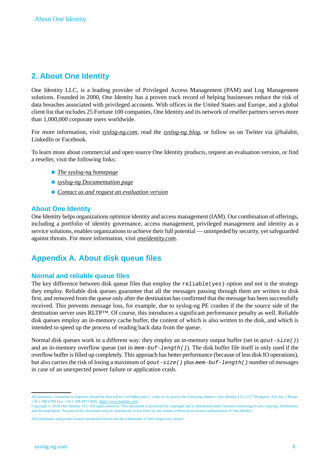# <span id="page-7-0"></span>**2. About One Identity**

One Identity LLC, is a leading provider of Privileged Access Management (PAM) and Log Management solutions. Founded in 2000, One Identity has a proven track record of helping businesses reduce the risk of data breaches associated with privileged accounts. With offices in the United States and Europe, and a global client list that includes 25 Fortune 100 companies, One Identity and its network of reseller partners serves more than 1,000,000 corporate users worldwide.

For more information, visit *[syslog-ng.com](https://syslog-ng.com)*, read the *[syslog-ng](https://syslog-ng.com/blog/) blog*, or follow us on Twitter via @balabit, LinkedIn or Facebook.

To learn more about commercial and open source One Identity products, request an evaluation version, or find a reseller, visit the following links:

- *The syslog-ng [homepage](https://syslog-ng.com)*
- *syslog-ng [Documentation](https://syslog-ng.com/technical-documents) page*
- *Contact us and request an [evaluation](https://syslog-ng.com/log-management-software/trial) version*

## **About One Identity**

<span id="page-7-1"></span>One Identity helps organizations optimize identity and access management (IAM). Our combination of offerings, including a portfolio of identity governance, access management, privileged management and identity as a service solutions, enables organizations to achieve their full potential — unimpeded by security, yet safeguarded against threats. For more information, visit *[oneidentity.com](http://www.oneidentity.com)*.

# **Appendix A. About disk queue files**

## **Normal and reliable queue files**

The key difference between disk queue files that employ the reliable(yes) option and not is the strategy they employ. Reliable disk queues guarantee that all the messages passing through them are written to disk first, and removed from the queue only after the destination has confirmed that the message has been successfully received. This prevents message loss, for example, due to syslog-ng PE crashes if the the source side of the destination server uses RLTP™. Of course, this introduces a significant performance penalty as well. Reliable disk queues employ an in-memory cache buffer, the content of which is also written to the disk, and which is intended to speed up the process of reading back data from the queue.

Normal disk queues work in a different way: they employ an in-memory output buffer (set in *qout-size()*) and an in-memory overflow queue (set in *mem-buf-length()*). The disk buffer file itself is only used if the overflow buffer isfilled up completely. This approach has better performance (because of less disk IO operations), but also carries the risk of losing a maximum of *qout-size()* plus *mem-buf-length()* number of messages in case of an unexpected power failure or application crash.

All questions, comments or inquiries should be directed to <info@balabit.com> or by post to the following address: One Identity LLC 1117 Budapest, Alíz Str. 2 Phone: +36 1 398 6700 Fax: +36 1 208 0875 Web: *<https://www.balabit.com/>*

Copyright © 2018 One Identity LLC All rights reserved. This document is protected by copyright and is distributed under licenses restricting its use, copying, distribution, and decompilation. No part of this document may be reproduced in any form by any means without prior written authorization of One Identity.

All trademarks and product names mentioned herein are the trademarks of their respective owners.